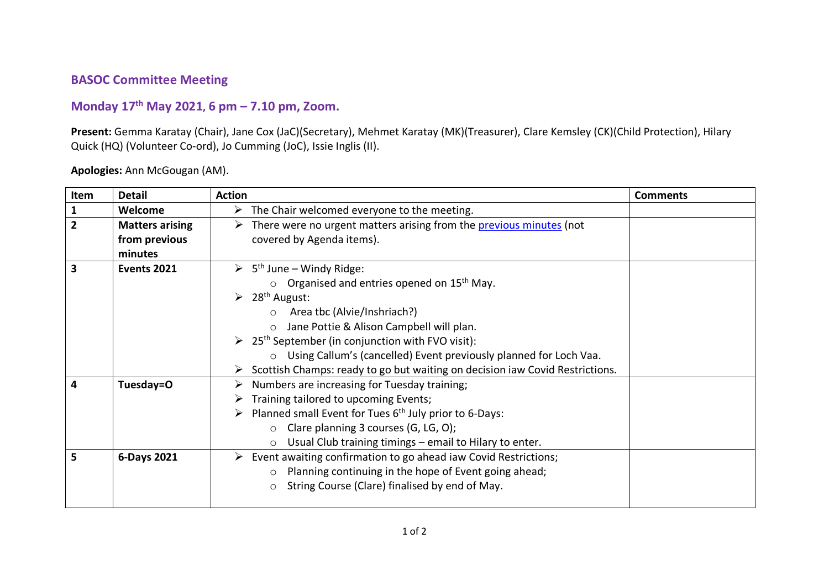## **BASOC Committee Meeting**

## **Monday 17th May 2021, 6 pm – 7.10 pm, Zoom.**

**Present:** Gemma Karatay (Chair), Jane Cox (JaC)(Secretary), Mehmet Karatay (MK)(Treasurer), Clare Kemsley (CK)(Child Protection), Hilary Quick (HQ) (Volunteer Co-ord), Jo Cumming (JoC), Issie Inglis (II).

| Item                    | <b>Detail</b>          | <b>Action</b>                                                                    | <b>Comments</b> |  |  |
|-------------------------|------------------------|----------------------------------------------------------------------------------|-----------------|--|--|
| $\mathbf{1}$            | Welcome                | $\triangleright$ The Chair welcomed everyone to the meeting.                     |                 |  |  |
| $\overline{2}$          | <b>Matters arising</b> | There were no urgent matters arising from the previous minutes (not              |                 |  |  |
|                         | from previous          | covered by Agenda items).                                                        |                 |  |  |
|                         | minutes                |                                                                                  |                 |  |  |
| $\overline{\mathbf{3}}$ | <b>Events 2021</b>     | $\triangleright$ 5 <sup>th</sup> June – Windy Ridge:                             |                 |  |  |
|                         |                        | $\circ$ Organised and entries opened on 15 <sup>th</sup> May.                    |                 |  |  |
|                         |                        | $\geq 28^{th}$ August:                                                           |                 |  |  |
|                         |                        | Area tbc (Alvie/Inshriach?)<br>$\bigcirc$                                        |                 |  |  |
|                         |                        | Jane Pottie & Alison Campbell will plan.                                         |                 |  |  |
|                         |                        | $\geq 25$ <sup>th</sup> September (in conjunction with FVO visit):               |                 |  |  |
|                         |                        | Using Callum's (cancelled) Event previously planned for Loch Vaa.<br>$\circ$     |                 |  |  |
|                         |                        | Scottish Champs: ready to go but waiting on decision iaw Covid Restrictions.     |                 |  |  |
| $\overline{\mathbf{4}}$ | Tuesday=O              | Numbers are increasing for Tuesday training;<br>➤                                |                 |  |  |
|                         |                        | Training tailored to upcoming Events;                                            |                 |  |  |
|                         |                        | Planned small Event for Tues $6th$ July prior to 6-Days:<br>➤                    |                 |  |  |
|                         |                        | Clare planning 3 courses (G, LG, O);<br>$\circ$                                  |                 |  |  |
|                         |                        | Usual Club training timings - email to Hilary to enter.<br>$\circ$               |                 |  |  |
| 5                       | 6-Days 2021            | $\triangleright$ Event awaiting confirmation to go ahead iaw Covid Restrictions; |                 |  |  |
|                         |                        | Planning continuing in the hope of Event going ahead;<br>$\circ$                 |                 |  |  |
|                         |                        | String Course (Clare) finalised by end of May.<br>$\circ$                        |                 |  |  |
|                         |                        |                                                                                  |                 |  |  |

**Apologies:** Ann McGougan (AM).